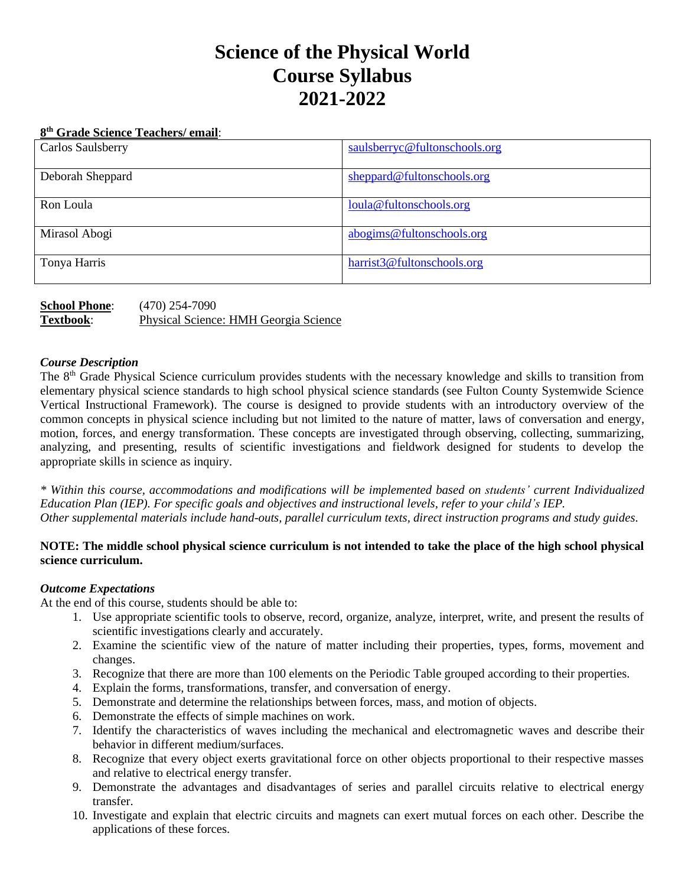# **Science of the Physical World Course Syllabus 2021-2022**

#### **8 th Grade Science Teachers/ email**:

| Carlos Saulsberry | saulsberryc@fultonschools.org |
|-------------------|-------------------------------|
| Deborah Sheppard  | sheppard@fultonschools.org    |
| Ron Loula         | loula@fultonschools.org       |
| Mirasol Abogi     | abogims@fultonschools.org     |
| Tonya Harris      | harrist3@fultonschools.org    |

| <b>School Phone:</b> | $(470)$ 254-7090                      |
|----------------------|---------------------------------------|
| Textbook:            | Physical Science: HMH Georgia Science |

### *Course Description*

The 8<sup>th</sup> Grade Physical Science curriculum provides students with the necessary knowledge and skills to transition from elementary physical science standards to high school physical science standards (see Fulton County Systemwide Science Vertical Instructional Framework). The course is designed to provide students with an introductory overview of the common concepts in physical science including but not limited to the nature of matter, laws of conversation and energy, motion, forces, and energy transformation. These concepts are investigated through observing, collecting, summarizing, analyzing, and presenting, results of scientific investigations and fieldwork designed for students to develop the appropriate skills in science as inquiry.

*\* Within this course, accommodations and modifications will be implemented based on students' current Individualized Education Plan (IEP). For specific goals and objectives and instructional levels, refer to your child's IEP. Other supplemental materials include hand-outs, parallel curriculum texts, direct instruction programs and study guides.* 

## **NOTE: The middle school physical science curriculum is not intended to take the place of the high school physical science curriculum.**

# *Outcome Expectations*

At the end of this course, students should be able to:

- 1. Use appropriate scientific tools to observe, record, organize, analyze, interpret, write, and present the results of scientific investigations clearly and accurately.
- 2. Examine the scientific view of the nature of matter including their properties, types, forms, movement and changes.
- 3. Recognize that there are more than 100 elements on the Periodic Table grouped according to their properties.
- 4. Explain the forms, transformations, transfer, and conversation of energy.
- 5. Demonstrate and determine the relationships between forces, mass, and motion of objects.
- 6. Demonstrate the effects of simple machines on work.
- 7. Identify the characteristics of waves including the mechanical and electromagnetic waves and describe their behavior in different medium/surfaces.
- 8. Recognize that every object exerts gravitational force on other objects proportional to their respective masses and relative to electrical energy transfer.
- 9. Demonstrate the advantages and disadvantages of series and parallel circuits relative to electrical energy transfer.
- 10. Investigate and explain that electric circuits and magnets can exert mutual forces on each other. Describe the applications of these forces.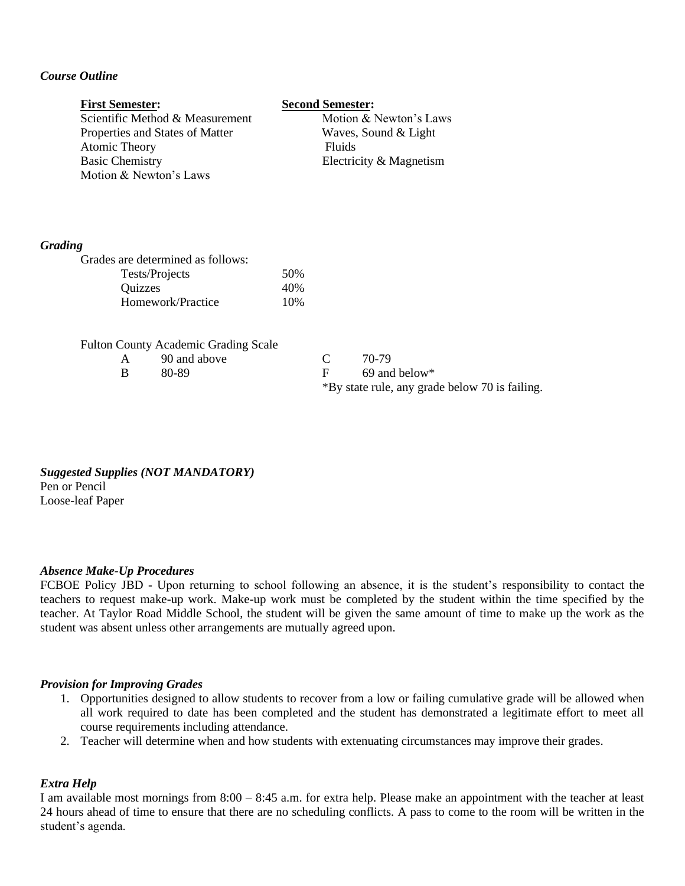# *Course Outline*

# **First Semester: Second Semester:**

Scientific Method & Measurement Motion & Newton's Laws Properties and States of Matter Waves, Sound & Light Atomic Theory Fluids Basic Chemistry Electricity & Magnetism Motion & Newton's Laws

#### *Grading*

| 50% |
|-----|
| 40% |
| 10% |
|     |

|  | <b>Fulton County Academic Grading Scale</b> |  |
|--|---------------------------------------------|--|
|  |                                             |  |

| 90 and above | 70-79    |
|--------------|----------|
| 80-89        | $69$ and |

69 and below $*$ \*By state rule, any grade below 70 is failing.

*Suggested Supplies (NOT MANDATORY)* Pen or Pencil Loose-leaf Paper

#### *Absence Make-Up Procedures*

FCBOE Policy JBD - Upon returning to school following an absence, it is the student's responsibility to contact the teachers to request make-up work. Make-up work must be completed by the student within the time specified by the teacher. At Taylor Road Middle School, the student will be given the same amount of time to make up the work as the student was absent unless other arrangements are mutually agreed upon.

#### *Provision for Improving Grades*

- 1. Opportunities designed to allow students to recover from a low or failing cumulative grade will be allowed when all work required to date has been completed and the student has demonstrated a legitimate effort to meet all course requirements including attendance.
- 2. Teacher will determine when and how students with extenuating circumstances may improve their grades.

### *Extra Help*

I am available most mornings from 8:00 – 8:45 a.m. for extra help. Please make an appointment with the teacher at least 24 hours ahead of time to ensure that there are no scheduling conflicts. A pass to come to the room will be written in the student's agenda.